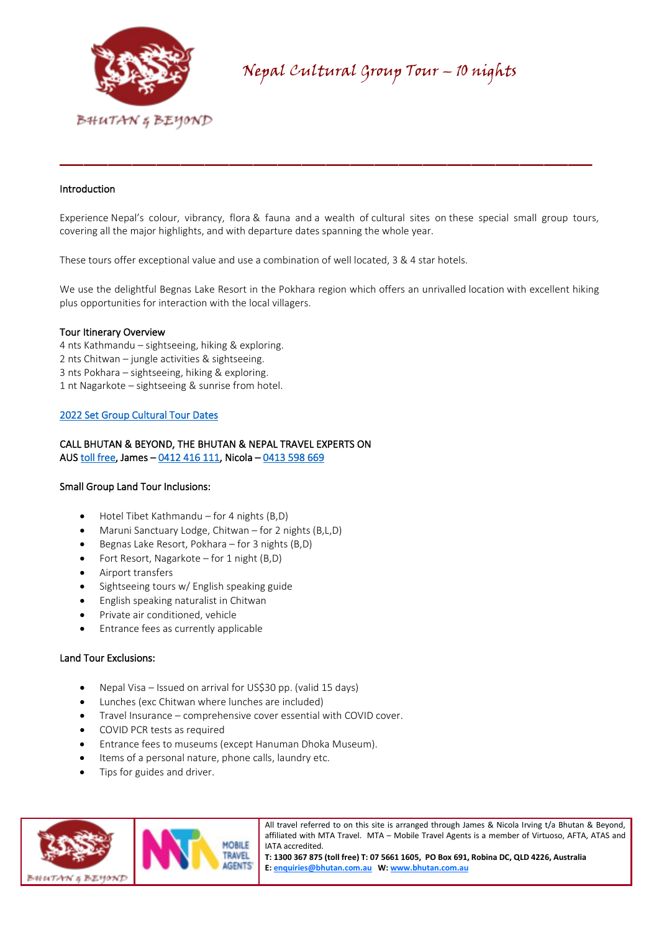

## Introduction

Experience Nepal's colour, vibrancy, flora & fauna and a wealth of cultural sites on these special small group tours, covering all the major highlights, and with departure dates spanning the whole year.

\_\_\_\_\_\_\_\_\_\_\_\_\_\_\_\_\_\_\_\_\_\_\_\_\_\_\_\_\_\_\_\_\_\_\_\_\_\_\_\_\_\_\_\_

These tours offer exceptional value and use a combination of well located, 3 & 4 star hotels.

We use the delightful Begnas Lake Resort in the Pokhara region which offers an unrivalled location with excellent hiking plus opportunities for interaction with the local villagers.

#### Tour Itinerary Overview

- 4 nts Kathmandu sightseeing, hiking & exploring.
- 2 nts Chitwan jungle activities & sightseeing.
- 3 nts Pokhara sightseeing, hiking & exploring.
- 1 nt Nagarkote sightseeing & sunrise from hotel.

### [2022 Set Group Cultural Tour Dates](https://bhutan.com.au/nepal-cultural-group-tour-dates-2022/)

## CALL BHUTAN & BEYOND, THE BHUTAN & NEPAL TRAVEL EXPERTS ON AUS [toll free,](tel:1300%20367%20875) James – [0412 416 111,](tel:0412%20416%20111) Nicola [– 0413 598 669](tel:0413%20598%20669)

#### Small Group Land Tour Inclusions:

- Hotel Tibet Kathmandu for 4 nights (B,D)
- Maruni Sanctuary Lodge, Chitwan for 2 nights (B,L,D)
- Begnas Lake Resort, Pokhara for 3 nights (B,D)
- Fort Resort, Nagarkote for 1 night (B,D)
- Airport transfers
- Sightseeing tours w/ English speaking guide
- English speaking naturalist in Chitwan
- Private air conditioned, vehicle
- Entrance fees as currently applicable

#### Land Tour Exclusions:

- Nepal Visa Issued on arrival for US\$30 pp. (valid 15 days)
- Lunches (exc Chitwan where lunches are included)
- Travel Insurance comprehensive cover essential with COVID cover.
- COVID PCR tests as required
- Entrance fees to museums (except Hanuman Dhoka Museum).
- Items of a personal nature, phone calls, laundry etc.
- Tips for guides and driver.



All travel referred to on this site is arranged through James & Nicola Irving t/a Bhutan & Beyond, affiliated with MTA Travel. MTA – Mobile Travel Agents is a member of Virtuoso, AFTA, ATAS and IATA accredited.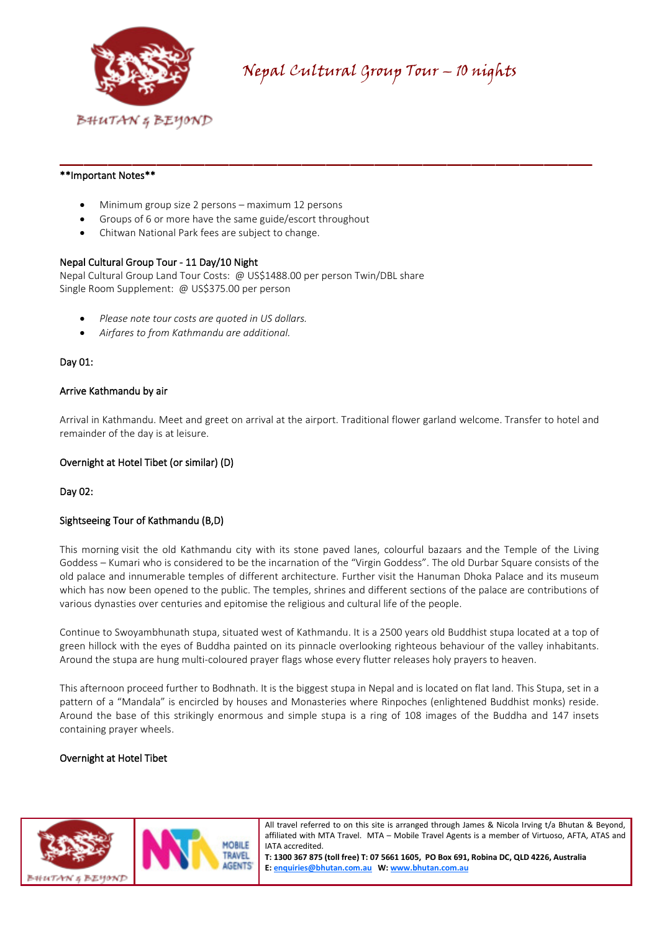

## \*\*Important Notes\*\*

- Minimum group size 2 persons maximum 12 persons
- Groups of 6 or more have the same guide/escort throughout
- Chitwan National Park fees are subject to change.

### Nepal Cultural Group Tour - 11 Day/10 Night

Nepal Cultural Group Land Tour Costs: @ US\$1488.00 per person Twin/DBL share Single Room Supplement: @ US\$375.00 per person

- *Please note tour costs are quoted in US dollars.*
- *Airfares to from Kathmandu are additional.*

### Day 01:

### Arrive Kathmandu by air

Arrival in Kathmandu. Meet and greet on arrival at the airport. Traditional flower garland welcome. Transfer to hotel and remainder of the day is at leisure.

\_\_\_\_\_\_\_\_\_\_\_\_\_\_\_\_\_\_\_\_\_\_\_\_\_\_\_\_\_\_\_\_\_\_\_\_\_\_\_\_\_\_\_\_

### Overnight at Hotel Tibet (or similar) (D)

Day 02:

## Sightseeing Tour of Kathmandu (B,D)

This morning visit the old Kathmandu city with its stone paved lanes, colourful bazaars and the Temple of the Living Goddess – Kumari who is considered to be the incarnation of the "Virgin Goddess". The old Durbar Square consists of the old palace and innumerable temples of different architecture. Further visit the Hanuman Dhoka Palace and its museum which has now been opened to the public. The temples, shrines and different sections of the palace are contributions of various dynasties over centuries and epitomise the religious and cultural life of the people.

Continue to Swoyambhunath stupa, situated west of Kathmandu. It is a 2500 years old Buddhist stupa located at a top of green hillock with the eyes of Buddha painted on its pinnacle overlooking righteous behaviour of the valley inhabitants. Around the stupa are hung multi-coloured prayer flags whose every flutter releases holy prayers to heaven.

This afternoon proceed further to Bodhnath. It is the biggest stupa in Nepal and is located on flat land. This Stupa, set in a pattern of a "Mandala" is encircled by houses and Monasteries where Rinpoches (enlightened Buddhist monks) reside. Around the base of this strikingly enormous and simple stupa is a ring of 108 images of the Buddha and 147 insets containing prayer wheels.

#### Overnight at Hotel Tibet



All travel referred to on this site is arranged through James & Nicola Irving t/a Bhutan & Beyond, affiliated with MTA Travel. MTA – Mobile Travel Agents is a member of Virtuoso, AFTA, ATAS and IATA accredited.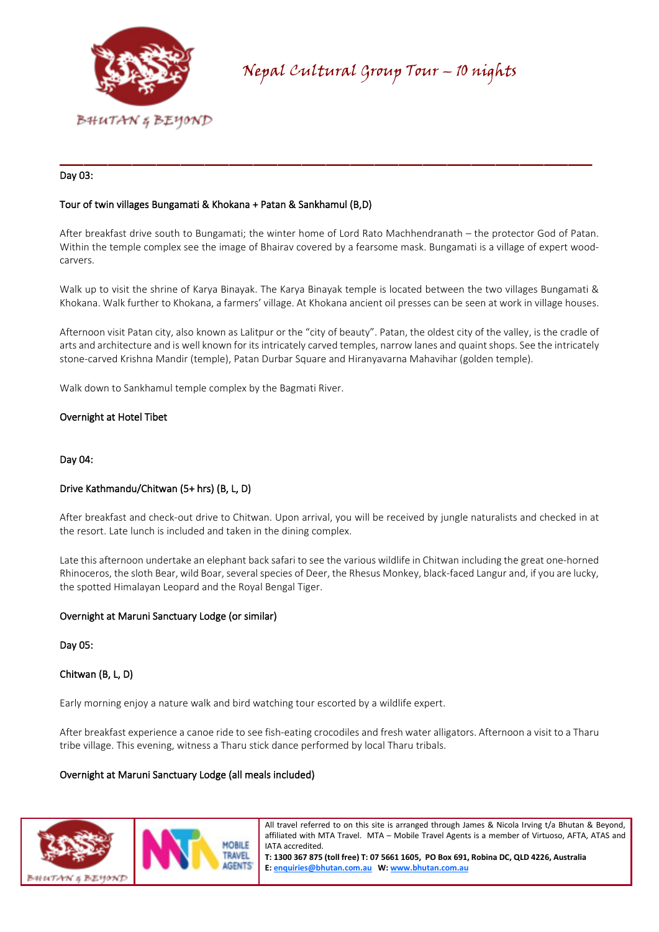

## Day 03:

## Tour of twin villages Bungamati & Khokana + Patan & Sankhamul (B,D)

After breakfast drive south to Bungamati; the winter home of Lord Rato Machhendranath – the protector God of Patan. Within the temple complex see the image of Bhairav covered by a fearsome mask. Bungamati is a village of expert woodcarvers.

\_\_\_\_\_\_\_\_\_\_\_\_\_\_\_\_\_\_\_\_\_\_\_\_\_\_\_\_\_\_\_\_\_\_\_\_\_\_\_\_\_\_\_\_

Walk up to visit the shrine of Karya Binayak. The Karya Binayak temple is located between the two villages Bungamati & Khokana. Walk further to Khokana, a farmers' village. At Khokana ancient oil presses can be seen at work in village houses.

Afternoon visit Patan city, also known as Lalitpur or the "city of beauty". Patan, the oldest city of the valley, is the cradle of arts and architecture and is well known for its intricately carved temples, narrow lanes and quaint shops. See the intricately stone-carved Krishna Mandir (temple), Patan Durbar Square and Hiranyavarna Mahavihar (golden temple).

Walk down to Sankhamul temple complex by the Bagmati River.

### Overnight at Hotel Tibet

#### Day 04:

## Drive Kathmandu/Chitwan (5+ hrs) (B, L, D)

After breakfast and check-out drive to Chitwan. Upon arrival, you will be received by jungle naturalists and checked in at the resort. Late lunch is included and taken in the dining complex.

Late this afternoon undertake an elephant back safari to see the various wildlife in Chitwan including the great one-horned Rhinoceros, the sloth Bear, wild Boar, several species of Deer, the Rhesus Monkey, black-faced Langur and, if you are lucky, the spotted Himalayan Leopard and the Royal Bengal Tiger.

#### Overnight at Maruni Sanctuary Lodge (or similar)

Day 05:

#### Chitwan (B, L, D)

Early morning enjoy a nature walk and bird watching tour escorted by a wildlife expert.

After breakfast experience a canoe ride to see fish-eating crocodiles and fresh water alligators. Afternoon a visit to a Tharu tribe village. This evening, witness a Tharu stick dance performed by local Tharu tribals.

#### Overnight at Maruni Sanctuary Lodge (all meals included)



All travel referred to on this site is arranged through James & Nicola Irving t/a Bhutan & Beyond, affiliated with MTA Travel. MTA – Mobile Travel Agents is a member of Virtuoso, AFTA, ATAS and IATA accredited.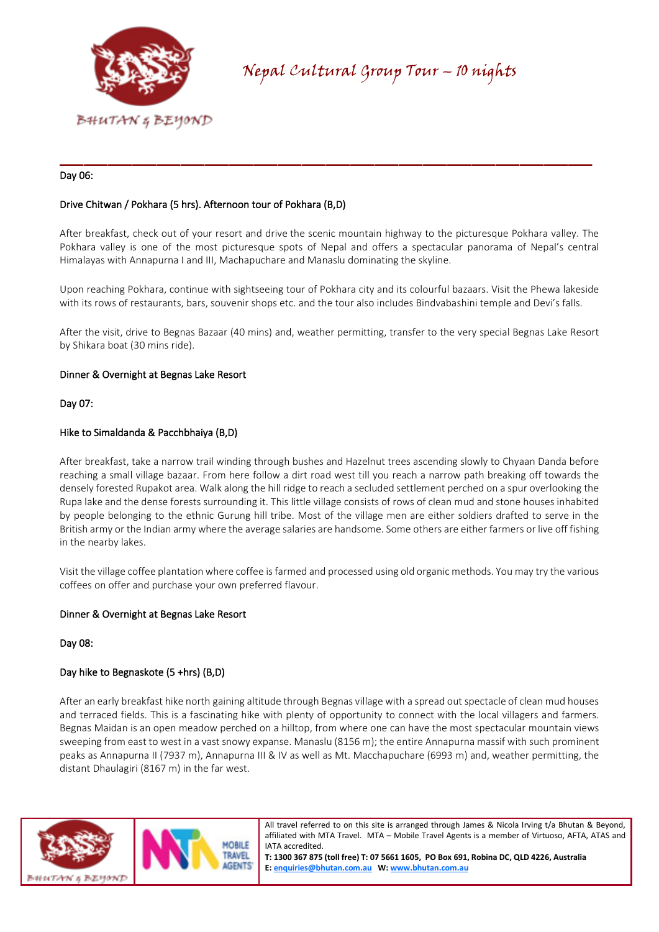

### Day 06:

# Drive Chitwan / Pokhara (5 hrs). Afternoon tour of Pokhara (B,D)

After breakfast, check out of your resort and drive the scenic mountain highway to the picturesque Pokhara valley. The Pokhara valley is one of the most picturesque spots of Nepal and offers a spectacular panorama of Nepal's central Himalayas with Annapurna I and III, Machapuchare and Manaslu dominating the skyline.

\_\_\_\_\_\_\_\_\_\_\_\_\_\_\_\_\_\_\_\_\_\_\_\_\_\_\_\_\_\_\_\_\_\_\_\_\_\_\_\_\_\_\_\_

Upon reaching Pokhara, continue with sightseeing tour of Pokhara city and its colourful bazaars. Visit the Phewa lakeside with its rows of restaurants, bars, souvenir shops etc. and the tour also includes Bindvabashini temple and Devi's falls.

After the visit, drive to Begnas Bazaar (40 mins) and, weather permitting, transfer to the very special Begnas Lake Resort by Shikara boat (30 mins ride).

### Dinner & Overnight at Begnas Lake Resort

Day 07:

#### Hike to Simaldanda & Pacchbhaiya (B,D)

After breakfast, take a narrow trail winding through bushes and Hazelnut trees ascending slowly to Chyaan Danda before reaching a small village bazaar. From here follow a dirt road west till you reach a narrow path breaking off towards the densely forested Rupakot area. Walk along the hill ridge to reach a secluded settlement perched on a spur overlooking the Rupa lake and the dense forests surrounding it. This little village consists of rows of clean mud and stone houses inhabited by people belonging to the ethnic Gurung hill tribe. Most of the village men are either soldiers drafted to serve in the British army or the Indian army where the average salaries are handsome. Some others are either farmers or live off fishing in the nearby lakes.

Visit the village coffee plantation where coffee is farmed and processed using old organic methods. You may try the various coffees on offer and purchase your own preferred flavour.

#### Dinner & Overnight at Begnas Lake Resort

#### Day 08:

## Day hike to Begnaskote (5 +hrs) (B,D)

After an early breakfast hike north gaining altitude through Begnas village with a spread out spectacle of clean mud houses and terraced fields. This is a fascinating hike with plenty of opportunity to connect with the local villagers and farmers. Begnas Maidan is an open meadow perched on a hilltop, from where one can have the most spectacular mountain views sweeping from east to west in a vast snowy expanse. Manaslu (8156 m); the entire Annapurna massif with such prominent peaks as Annapurna II (7937 m), Annapurna III & IV as well as Mt. Macchapuchare (6993 m) and, weather permitting, the distant Dhaulagiri (8167 m) in the far west.



All travel referred to on this site is arranged through James & Nicola Irving t/a Bhutan & Beyond, affiliated with MTA Travel. MTA – Mobile Travel Agents is a member of Virtuoso, AFTA, ATAS and IATA accredited.